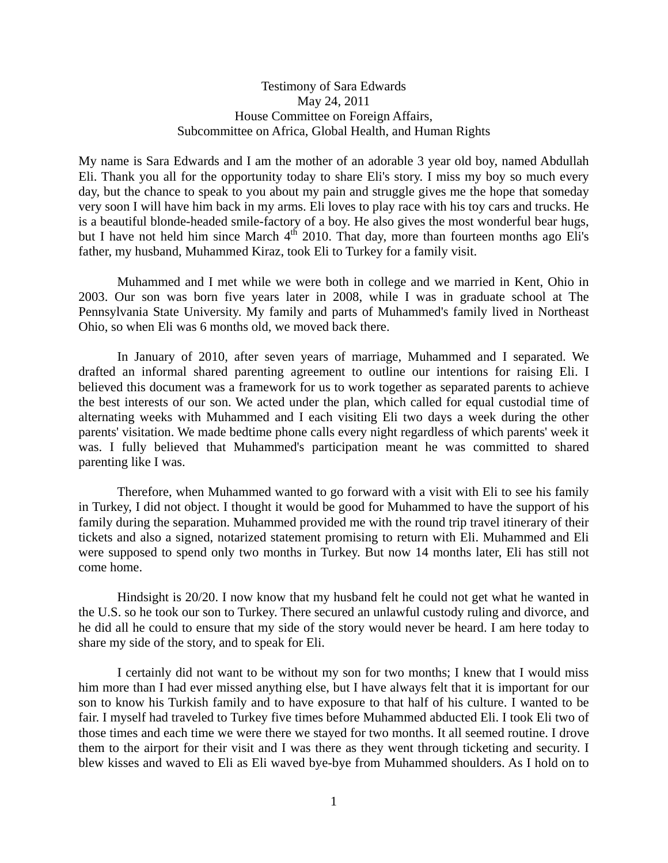## Testimony of Sara Edwards May 24, 2011 House Committee on Foreign Affairs, Subcommittee on Africa, Global Health, and Human Rights

My name is Sara Edwards and I am the mother of an adorable 3 year old boy, named Abdullah Eli. Thank you all for the opportunity today to share Eli's story. I miss my boy so much every day, but the chance to speak to you about my pain and struggle gives me the hope that someday very soon I will have him back in my arms. Eli loves to play race with his toy cars and trucks. He is a beautiful blonde-headed smile-factory of a boy. He also gives the most wonderful bear hugs, but I have not held him since March  $4<sup>th</sup>$  2010. That day, more than fourteen months ago Eli's father, my husband, Muhammed Kiraz, took Eli to Turkey for a family visit.

 Muhammed and I met while we were both in college and we married in Kent, Ohio in 2003. Our son was born five years later in 2008, while I was in graduate school at The Pennsylvania State University. My family and parts of Muhammed's family lived in Northeast Ohio, so when Eli was 6 months old, we moved back there.

 In January of 2010, after seven years of marriage, Muhammed and I separated. We drafted an informal shared parenting agreement to outline our intentions for raising Eli. I believed this document was a framework for us to work together as separated parents to achieve the best interests of our son. We acted under the plan, which called for equal custodial time of alternating weeks with Muhammed and I each visiting Eli two days a week during the other parents' visitation. We made bedtime phone calls every night regardless of which parents' week it was. I fully believed that Muhammed's participation meant he was committed to shared parenting like I was.

 Therefore, when Muhammed wanted to go forward with a visit with Eli to see his family in Turkey, I did not object. I thought it would be good for Muhammed to have the support of his family during the separation. Muhammed provided me with the round trip travel itinerary of their tickets and also a signed, notarized statement promising to return with Eli. Muhammed and Eli were supposed to spend only two months in Turkey. But now 14 months later, Eli has still not come home.

 Hindsight is 20/20. I now know that my husband felt he could not get what he wanted in the U.S. so he took our son to Turkey. There secured an unlawful custody ruling and divorce, and he did all he could to ensure that my side of the story would never be heard. I am here today to share my side of the story, and to speak for Eli.

 I certainly did not want to be without my son for two months; I knew that I would miss him more than I had ever missed anything else, but I have always felt that it is important for our son to know his Turkish family and to have exposure to that half of his culture. I wanted to be fair. I myself had traveled to Turkey five times before Muhammed abducted Eli. I took Eli two of those times and each time we were there we stayed for two months. It all seemed routine. I drove them to the airport for their visit and I was there as they went through ticketing and security. I blew kisses and waved to Eli as Eli waved bye-bye from Muhammed shoulders. As I hold on to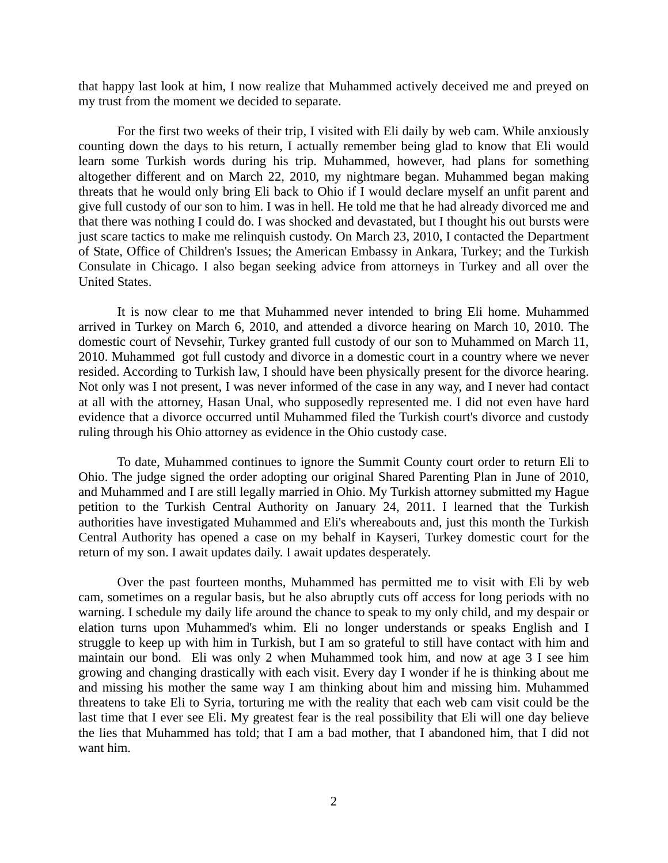that happy last look at him, I now realize that Muhammed actively deceived me and preyed on my trust from the moment we decided to separate.

 For the first two weeks of their trip, I visited with Eli daily by web cam. While anxiously counting down the days to his return, I actually remember being glad to know that Eli would learn some Turkish words during his trip. Muhammed, however, had plans for something altogether different and on March 22, 2010, my nightmare began. Muhammed began making threats that he would only bring Eli back to Ohio if I would declare myself an unfit parent and give full custody of our son to him. I was in hell. He told me that he had already divorced me and that there was nothing I could do. I was shocked and devastated, but I thought his out bursts were just scare tactics to make me relinquish custody. On March 23, 2010, I contacted the Department of State, Office of Children's Issues; the American Embassy in Ankara, Turkey; and the Turkish Consulate in Chicago. I also began seeking advice from attorneys in Turkey and all over the United States.

 It is now clear to me that Muhammed never intended to bring Eli home. Muhammed arrived in Turkey on March 6, 2010, and attended a divorce hearing on March 10, 2010. The domestic court of Nevsehir, Turkey granted full custody of our son to Muhammed on March 11, 2010. Muhammed got full custody and divorce in a domestic court in a country where we never resided. According to Turkish law, I should have been physically present for the divorce hearing. Not only was I not present, I was never informed of the case in any way, and I never had contact at all with the attorney, Hasan Unal, who supposedly represented me. I did not even have hard evidence that a divorce occurred until Muhammed filed the Turkish court's divorce and custody ruling through his Ohio attorney as evidence in the Ohio custody case.

 To date, Muhammed continues to ignore the Summit County court order to return Eli to Ohio. The judge signed the order adopting our original Shared Parenting Plan in June of 2010, and Muhammed and I are still legally married in Ohio. My Turkish attorney submitted my Hague petition to the Turkish Central Authority on January 24, 2011. I learned that the Turkish authorities have investigated Muhammed and Eli's whereabouts and, just this month the Turkish Central Authority has opened a case on my behalf in Kayseri, Turkey domestic court for the return of my son. I await updates daily. I await updates desperately.

 Over the past fourteen months, Muhammed has permitted me to visit with Eli by web cam, sometimes on a regular basis, but he also abruptly cuts off access for long periods with no warning. I schedule my daily life around the chance to speak to my only child, and my despair or elation turns upon Muhammed's whim. Eli no longer understands or speaks English and I struggle to keep up with him in Turkish, but I am so grateful to still have contact with him and maintain our bond. Eli was only 2 when Muhammed took him, and now at age 3 I see him growing and changing drastically with each visit. Every day I wonder if he is thinking about me and missing his mother the same way I am thinking about him and missing him. Muhammed threatens to take Eli to Syria, torturing me with the reality that each web cam visit could be the last time that I ever see Eli. My greatest fear is the real possibility that Eli will one day believe the lies that Muhammed has told; that I am a bad mother, that I abandoned him, that I did not want him.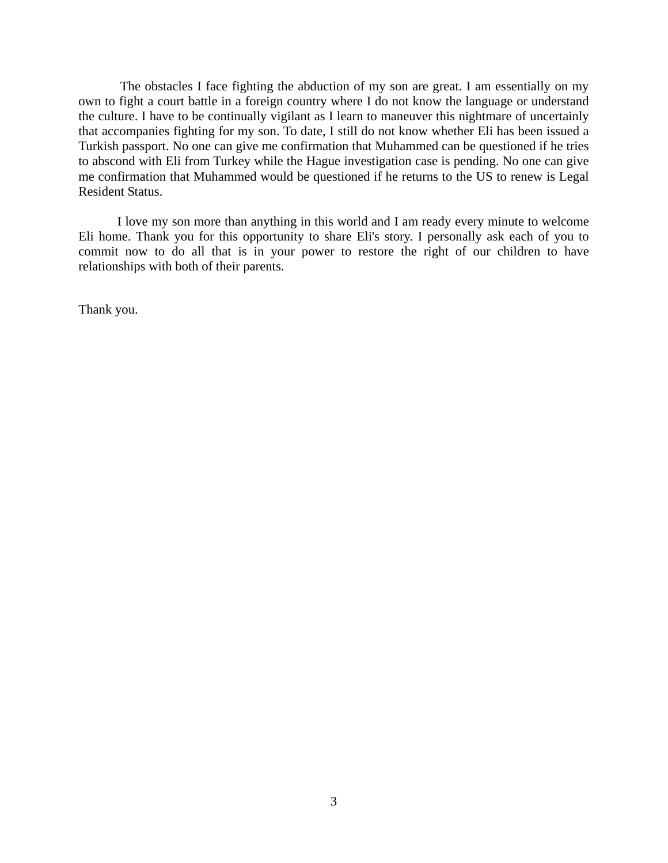The obstacles I face fighting the abduction of my son are great. I am essentially on my own to fight a court battle in a foreign country where I do not know the language or understand the culture. I have to be continually vigilant as I learn to maneuver this nightmare of uncertainly that accompanies fighting for my son. To date, I still do not know whether Eli has been issued a Turkish passport. No one can give me confirmation that Muhammed can be questioned if he tries to abscond with Eli from Turkey while the Hague investigation case is pending. No one can give me confirmation that Muhammed would be questioned if he returns to the US to renew is Legal Resident Status.

 I love my son more than anything in this world and I am ready every minute to welcome Eli home. Thank you for this opportunity to share Eli's story. I personally ask each of you to commit now to do all that is in your power to restore the right of our children to have relationships with both of their parents.

Thank you.